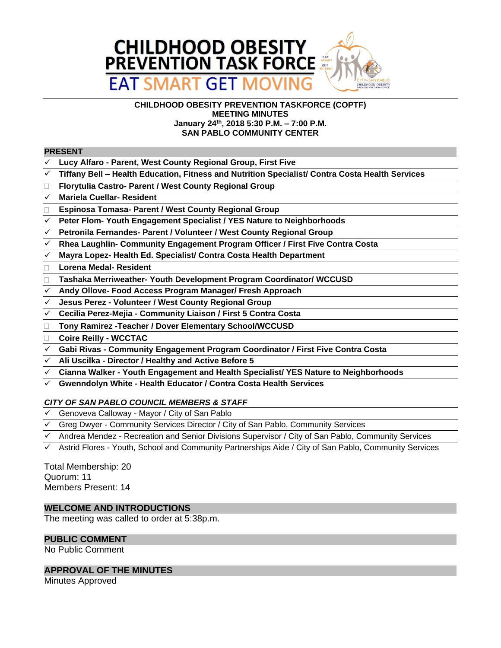

#### **CHILDHOOD OBESITY PREVENTION TASKFORCE (COPTF) MEETING MINUTES January 24th, 2018 5:30 P.M. – 7:00 P.M. SAN PABLO COMMUNITY CENTER**

#### **PRESENT**

- **Lucy Alfaro Parent, West County Regional Group, First Five**
- **Tiffany Bell – Health Education, Fitness and Nutrition Specialist/ Contra Costa Health Services**
- **Florytulia Castro- Parent / West County Regional Group**
- **Mariela Cuellar- Resident**
- **Espinosa Tomasa- Parent / West County Regional Group**
- **Peter Flom- Youth Engagement Specialist / YES Nature to Neighborhoods**
- **Petronila Fernandes- Parent / Volunteer / West County Regional Group**
- **Rhea Laughlin- Community Engagement Program Officer / First Five Contra Costa**
- **Mayra Lopez- Health Ed. Specialist/ Contra Costa Health Department**
- **Lorena Medal- Resident**
- **Tashaka Merriweather- Youth Development Program Coordinator/ WCCUSD**
- **Andy Ollove- Food Access Program Manager/ Fresh Approach**
- **Jesus Perez Volunteer / West County Regional Group**
- **Cecilia Perez-Mejia Community Liaison / First 5 Contra Costa**
- **Tony Ramirez -Teacher / Dover Elementary School/WCCUSD**
- **Coire Reilly WCCTAC**
- **Gabi Rivas Community Engagement Program Coordinator / First Five Contra Costa**
- **Ali Uscilka Director / Healthy and Active Before 5**
- **Cianna Walker Youth Engagement and Health Specialist/ YES Nature to Neighborhoods**
- **Gwenndolyn White Health Educator / Contra Costa Health Services**

# *CITY OF SAN PABLO COUNCIL MEMBERS & STAFF*

- $\checkmark$  Genoveva Calloway Mayor / City of San Pablo
- $\checkmark$  Greg Dwyer Community Services Director / City of San Pablo, Community Services
- Andrea Mendez Recreation and Senior Divisions Supervisor / City of San Pablo, Community Services
- Astrid Flores Youth, School and Community Partnerships Aide / City of San Pablo, Community Services

Total Membership: 20 Quorum: 11 Members Present: 14

### **WELCOME AND INTRODUCTIONS**

The meeting was called to order at 5:38p.m.

### **PUBLIC COMMENT**

No Public Comment

### **APPROVAL OF THE MINUTES**

Minutes Approved